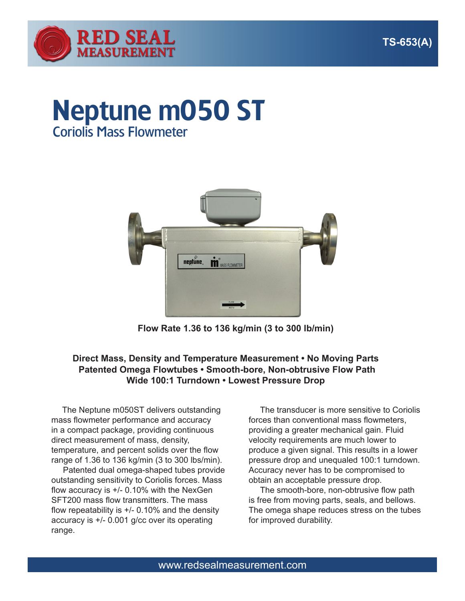

# Neptune m050 ST Coriolis Mass Flowmeter



**Flow Rate 1.36 to 136 kg/min (3 to 300 lb/min)**

### **Direct Mass, Density and Temperature Measurement • No Moving Parts Patented Omega Flowtubes • Smooth-bore, Non-obtrusive Flow Path Wide 100:1 Turndown • Lowest Pressure Drop**

 The Neptune m050ST delivers outstanding mass flowmeter performance and accuracy in a compact package, providing continuous direct measurement of mass, density, temperature, and percent solids over the flow range of 1.36 to 136 kg/min (3 to 300 lbs/min).

 Patented dual omega-shaped tubes provide outstanding sensitivity to Coriolis forces. Mass flow accuracy is +/- 0.10% with the NexGen SFT200 mass flow transmitters. The mass flow repeatability is  $+/-$  0.10% and the density accuracy is +/- 0.001 g/cc over its operating range.

 The transducer is more sensitive to Coriolis forces than conventional mass flowmeters, providing a greater mechanical gain. Fluid velocity requirements are much lower to produce a given signal. This results in a lower pressure drop and unequaled 100:1 turndown. Accuracy never has to be compromised to obtain an acceptable pressure drop.

 The smooth-bore, non-obtrusive flow path is free from moving parts, seals, and bellows. The omega shape reduces stress on the tubes for improved durability.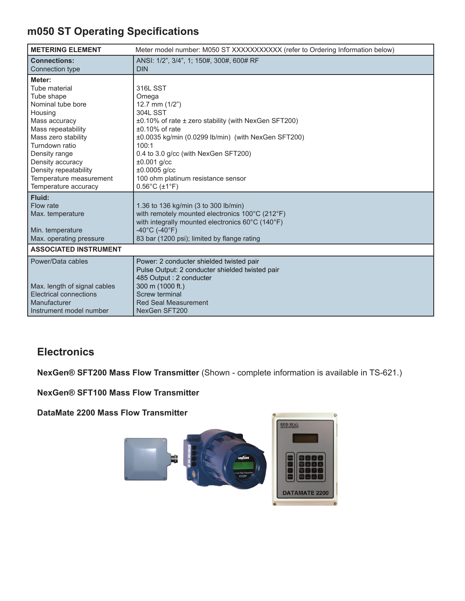# **m050 ST Operating Specifications**

| <b>METERING ELEMENT</b>           | Meter model number: M050 ST XXXXXXXXXX (refer to Ordering Information below) |
|-----------------------------------|------------------------------------------------------------------------------|
| <b>Connections:</b>               | ANSI: 1/2", 3/4", 1; 150#, 300#, 600# RF                                     |
| Connection type                   | <b>DIN</b>                                                                   |
| Meter:                            |                                                                              |
| Tube material                     | <b>316L SST</b>                                                              |
| Tube shape                        | Omega                                                                        |
| Nominal tube bore                 | 12.7 mm $(1/2")$                                                             |
| Housing                           | <b>304L SST</b>                                                              |
| Mass accuracy                     | $\pm 0.10\%$ of rate $\pm$ zero stability (with NexGen SFT200)               |
| Mass repeatability                | $±0.10\%$ of rate                                                            |
| Mass zero stability               | ±0.0035 kg/min (0.0299 lb/min) (with NexGen SFT200)                          |
| Turndown ratio                    | 100:1                                                                        |
| Density range<br>Density accuracy | 0.4 to 3.0 g/cc (with NexGen SFT200)<br>$±0.001$ g/cc                        |
| Density repeatability             | $±0.0005$ g/cc                                                               |
| Temperature measurement           | 100 ohm platinum resistance sensor                                           |
| Temperature accuracy              | $0.56^{\circ}$ C (±1°F)                                                      |
| Fluid:                            |                                                                              |
| Flow rate                         | 1.36 to 136 kg/min (3 to 300 lb/min)                                         |
| Max. temperature                  | with remotely mounted electronics 100°C (212°F)                              |
|                                   | with integrally mounted electronics 60°C (140°F)                             |
| Min. temperature                  | $-40^{\circ}$ C (-40 $^{\circ}$ F)                                           |
| Max. operating pressure           | 83 bar (1200 psi); limited by flange rating                                  |
| <b>ASSOCIATED INSTRUMENT</b>      |                                                                              |
| Power/Data cables                 | Power: 2 conducter shielded twisted pair                                     |
|                                   | Pulse Output: 2 conducter shielded twisted pair                              |
|                                   | 485 Output : 2 conducter                                                     |
| Max. length of signal cables      | 300 m (1000 ft.)                                                             |
| <b>Electrical connections</b>     | Screw terminal                                                               |
| Manufacturer                      | <b>Red Seal Measurement</b>                                                  |
| Instrument model number           | NexGen SFT200                                                                |

## **Electronics**

**NexGen® SFT200 Mass Flow Transmitter** (Shown - complete information is available in TS-621.)

**NexGen® SFT100 Mass Flow Transmitter** 

**DataMate 2200 Mass Flow Transmitter**

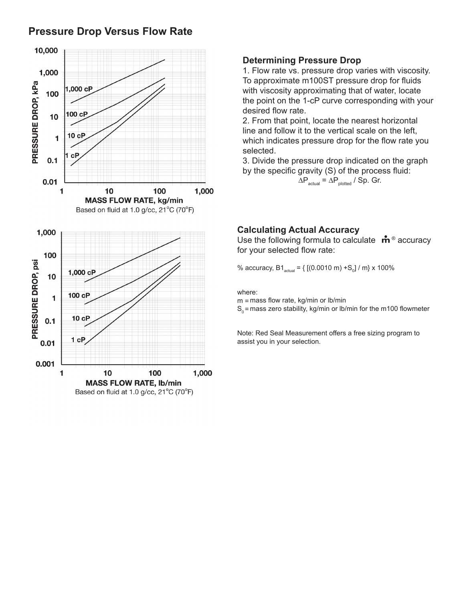## **Pressure Drop Versus Flow Rate**



#### **Determining Pressure Drop**

1. Flow rate vs. pressure drop varies with viscosity. To approximate m100ST pressure drop for fluids with viscosity approximating that of water, locate the point on the 1-cP curve corresponding with your desired flow rate.

2. From that point, locate the nearest horizontal line and follow it to the vertical scale on the left, which indicates pressure drop for the flow rate you selected.

3. Divide the pressure drop indicated on the graph by the specific gravity (S) of the process fluid:

 $\Delta P_{actual} = \Delta P_{plotted} / Sp.$  Gr.

#### **Calculating Actual Accuracy**

Use the following formula to calculate  $\mathbf{\dot{m}}^{\circ}$  accuracy for your selected flow rate:

% accuracy, B1<sub>actual</sub> = { [(0.0010 m) +S<sub>o</sub>] / m} x 100%

where:

m = mass flow rate, kg/min or lb/min

 $\mathsf{S}_{{}_0}$ = mass zero stability, kg/min or lb/min for the m100 flowmeter

Note: Red Seal Measurement offers a free sizing program to assist you in your selection.